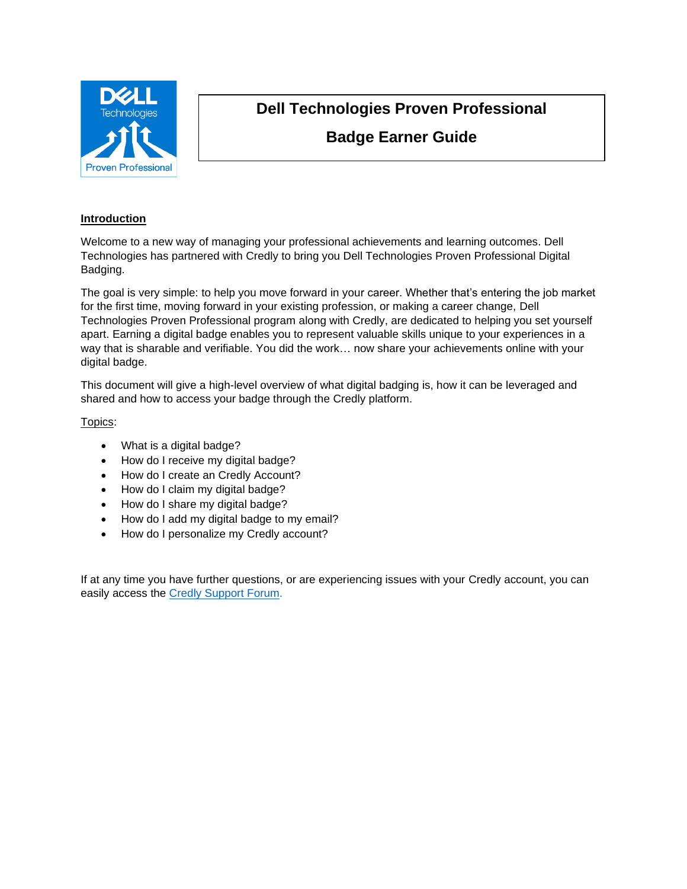

# **Dell Technologies Proven Professional Badge Earner Guide**

## **Introduction**

Welcome to a new way of managing your professional achievements and learning outcomes. Dell Technologies has partnered with Credly to bring you Dell Technologies Proven Professional Digital Badging.

The goal is very simple: to help you move forward in your career. Whether that's entering the job market for the first time, moving forward in your existing profession, or making a career change, Dell Technologies Proven Professional program along with Credly, are dedicated to helping you set yourself apart. Earning a digital badge enables you to represent valuable skills unique to your experiences in a way that is sharable and verifiable. You did the work… now share your achievements online with your digital badge.

This document will give a high-level overview of what digital badging is, how it can be leveraged and shared and how to access your badge through the Credly platform.

Topics:

- What is a digital badge?
- How do I receive my digital badge?
- How do I create an Credly Account?
- How do I claim my digital badge?
- How do I share my digital badge?
- How do I add my digital badge to my email?
- How do I personalize my Credly account?

If at any time you have further questions, or are experiencing issues with your Credly account, you can easily access the Credly [Support Forum.](https://support.credly.com/hc/en-us)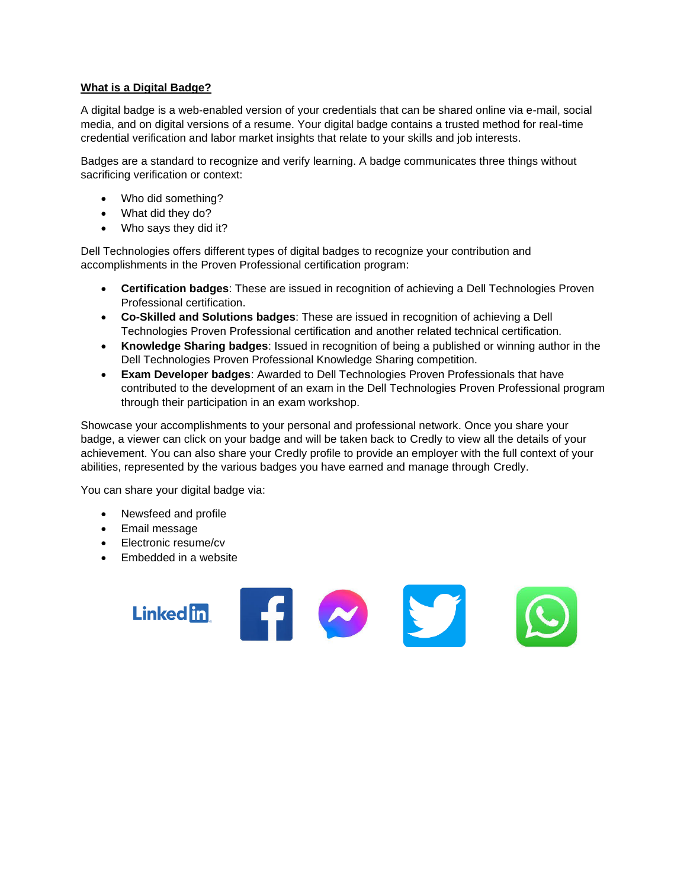## **What is a Digital Badge?**

A digital badge is a web-enabled version of your credentials that can be shared online via e-mail, social media, and on digital versions of a resume. Your digital badge contains a trusted method for real-time credential verification and labor market insights that relate to your skills and job interests.

Badges are a standard to recognize and verify learning. A badge communicates three things without sacrificing verification or context:

- Who did something?
- What did they do?
- Who says they did it?

Dell Technologies offers different types of digital badges to recognize your contribution and accomplishments in the Proven Professional certification program:

- **Certification badges**: These are issued in recognition of achieving a Dell Technologies Proven Professional certification.
- **Co-Skilled and Solutions badges**: These are issued in recognition of achieving a Dell Technologies Proven Professional certification and another related technical certification.
- **Knowledge Sharing badges**: Issued in recognition of being a published or winning author in the Dell Technologies Proven Professional Knowledge Sharing competition.
- **Exam Developer badges**: Awarded to Dell Technologies Proven Professionals that have contributed to the development of an exam in the Dell Technologies Proven Professional program through their participation in an exam workshop.

FINST

Showcase your accomplishments to your personal and professional network. Once you share your badge, a viewer can click on your badge and will be taken back to Credly to view all the details of your achievement. You can also share your Credly profile to provide an employer with the full context of your abilities, represented by the various badges you have earned and manage through Credly.

You can share your digital badge via:

- Newsfeed and profile
- Email message
- Electronic resume/cv
- Embedded in a website

**Linked** in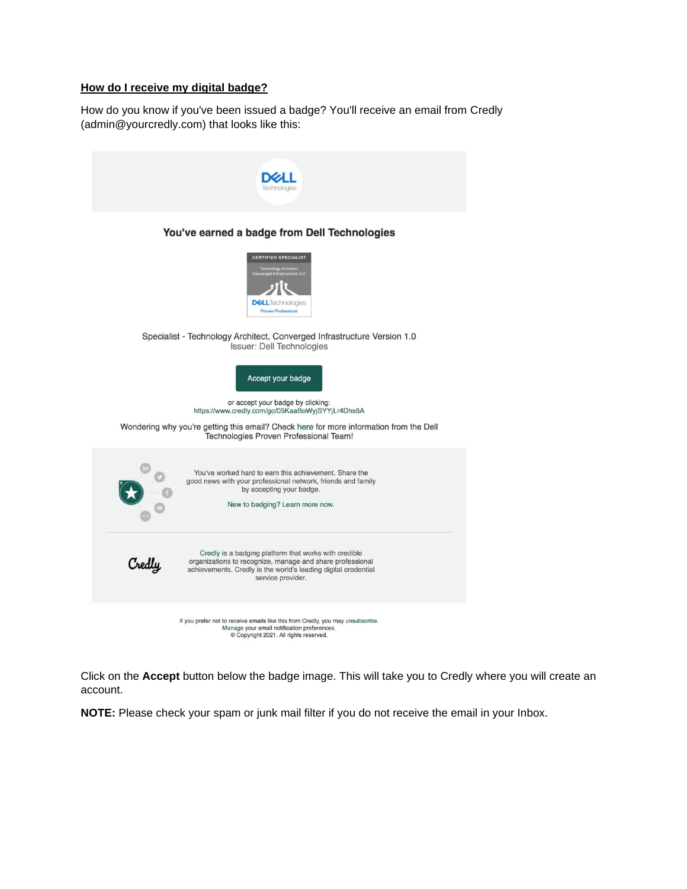## **How do I receive my digital badge?**

How do you know if you've been issued a badge? You'll receive an email from Credly (admin@yourcredly.com) that looks like this:

| You've earned a badge from Dell Technologies                                                                                                                                                                        |
|---------------------------------------------------------------------------------------------------------------------------------------------------------------------------------------------------------------------|
| <b>CERTIFIED SPECIALIST</b><br>Technology Architect<br>werged Infrastructure v1.0<br><b>DELL</b> lechnologies<br><b>Proven Professional</b>                                                                         |
| Specialist - Technology Architect, Converged Infrastructure Version 1.0<br>Issuer: Dell Technologies                                                                                                                |
| Accept your badge                                                                                                                                                                                                   |
| or accept your badge by clicking:<br>https://www.credly.com/go/05KaaBoWyjSYYjLr4Dhs6A                                                                                                                               |
| Wondering why you're getting this email? Check here for more information from the Dell<br>Technologies Proven Professional Team!                                                                                    |
| You've worked hard to earn this achievement. Share the<br>good news with your professional network, friends and family<br>by accepting your badge.<br>New to badging? Learn more now.                               |
| Credly is a badging platform that works with credible<br>organizations to recognize, manage and share professional<br>Credly<br>achievements. Credly is the world's leading digital credential<br>service provider. |
| If you prefer not to receive emails like this from Credly, you may unsubscribe.<br>Manage your email notification preferences.<br>© Copyright 2021. All rights reserved.                                            |

Click on the **Accept** button below the badge image. This will take you to Credly where you will create an account.

**NOTE:** Please check your spam or junk mail filter if you do not receive the email in your Inbox.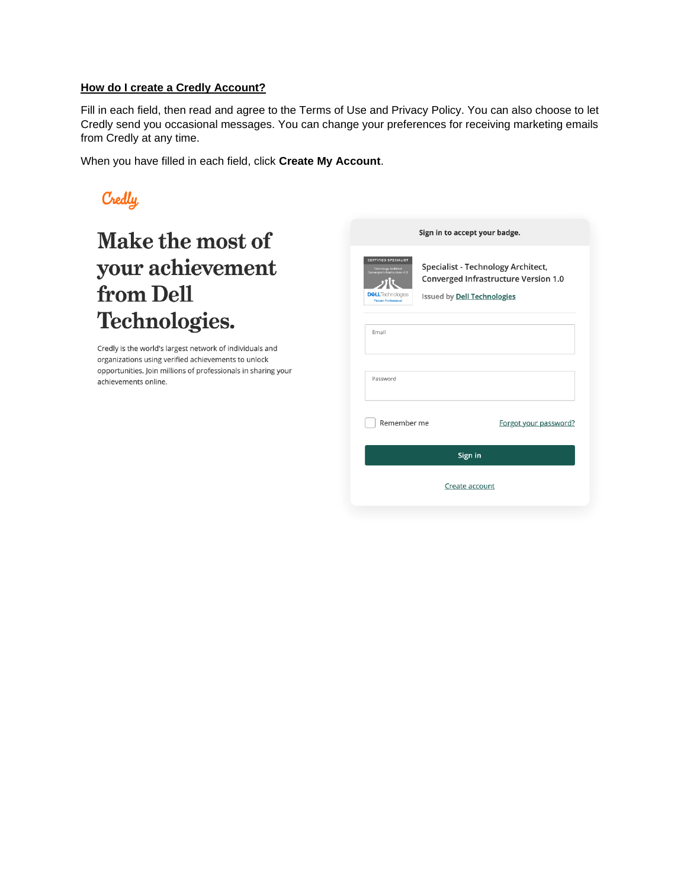### **How do I create a Credly Account?**

Fill in each field, then read and agree to the Terms of Use and Privacy Policy. You can also choose to let Credly send you occasional messages. You can change your preferences for receiving marketing emails from Credly at any time.

When you have filled in each field, click **Create My Account**.



# Make the most of your achievement from Dell Technologies.

Credly is the world's largest network of individuals and organizations using verified achievements to unlock opportunities. Join millions of professionals in sharing your achievements online.

|                                                                                                                                         | Sign in to accept your badge.                                                                                    |
|-----------------------------------------------------------------------------------------------------------------------------------------|------------------------------------------------------------------------------------------------------------------|
| <b>CERTIFIED SPECIALIST</b><br>Technology Architect<br>Converged Infrastructure v1.0<br><b>DELL</b> Technologies<br>Proven Professional | Specialist - Technology Architect,<br><b>Converged Infrastructure Version 1.0</b><br>Issued by Dell Technologies |
| Email                                                                                                                                   |                                                                                                                  |
| Password                                                                                                                                |                                                                                                                  |
| Remember me                                                                                                                             | Forgot your password?                                                                                            |
|                                                                                                                                         | Sign in                                                                                                          |
|                                                                                                                                         | Create account                                                                                                   |
|                                                                                                                                         |                                                                                                                  |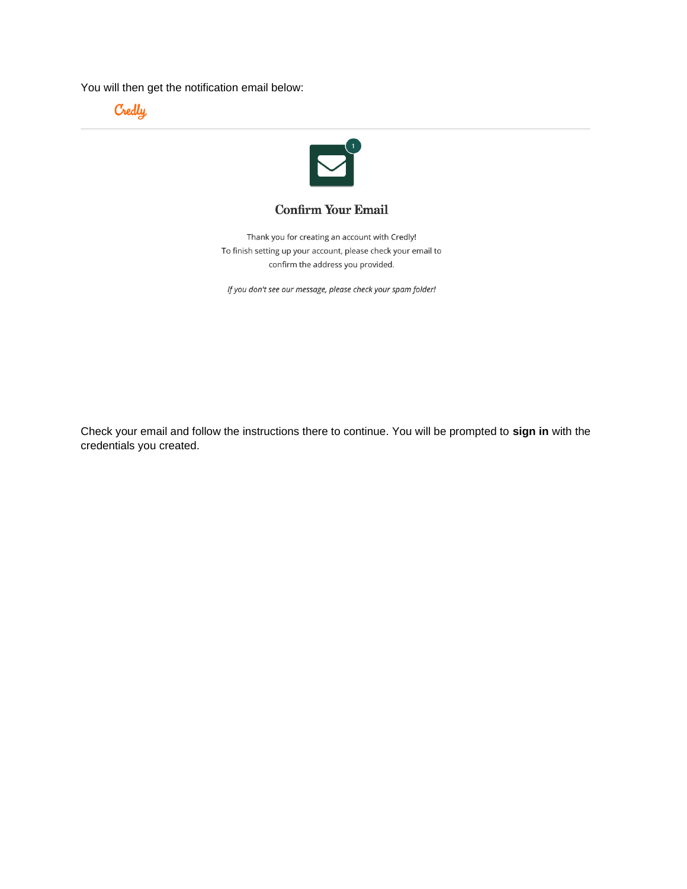You will then get the notification email below:





## **Confirm Your Email**

Thank you for creating an account with Credly! To finish setting up your account, please check your email to confirm the address you provided.

If you don't see our message, please check your spam folder!

Check your email and follow the instructions there to continue. You will be prompted to **sign in** with the credentials you created.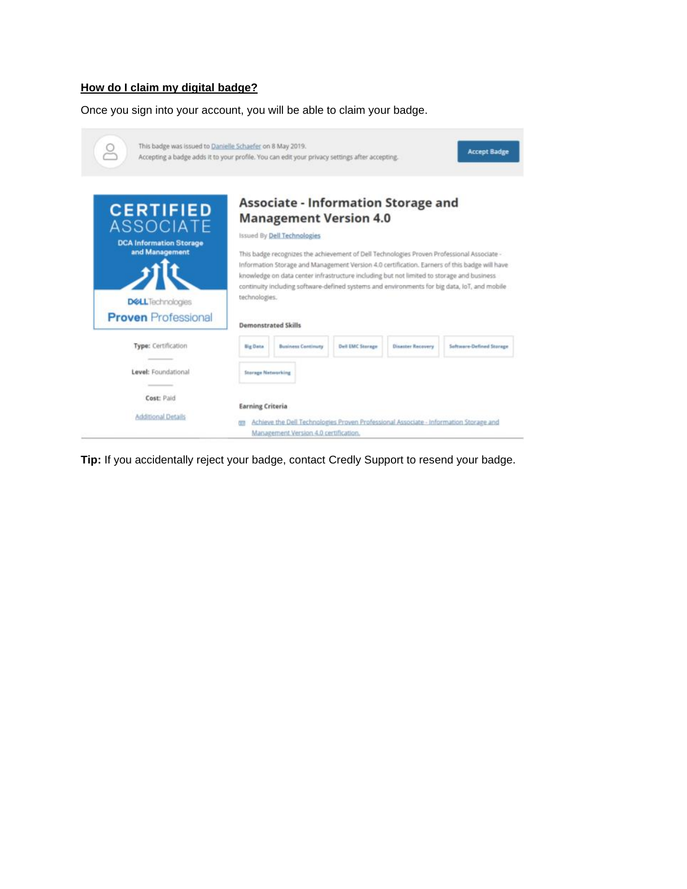## **How do I claim my digital badge?**

Once you sign into your account, you will be able to claim your badge.



**Tip:** If you accidentally reject your badge, contact Credly Support to resend your badge.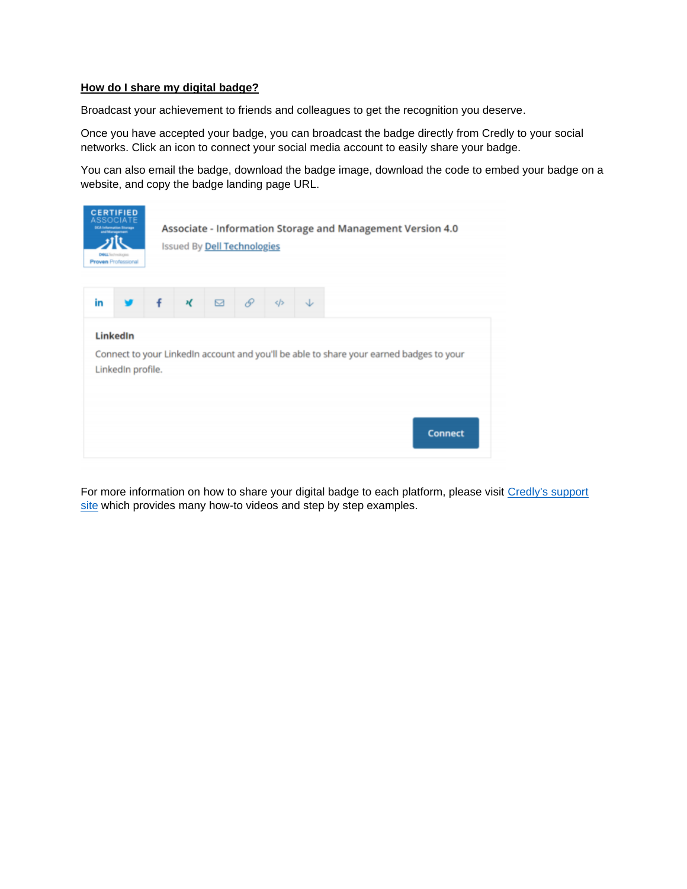#### **How do I share my digital badge?**

Broadcast your achievement to friends and colleagues to get the recognition you deserve.

Once you have accepted your badge, you can broadcast the badge directly from Credly to your social networks. Click an icon to connect your social media account to easily share your badge.

You can also email the badge, download the badge image, download the code to embed your badge on a website, and copy the badge landing page URL.



For more information on how to share your digital badge to each platform, please visit [Credly's support](https://support.credly.com/hc/en-us)  [site](https://support.credly.com/hc/en-us) which provides many how-to videos and step by step examples.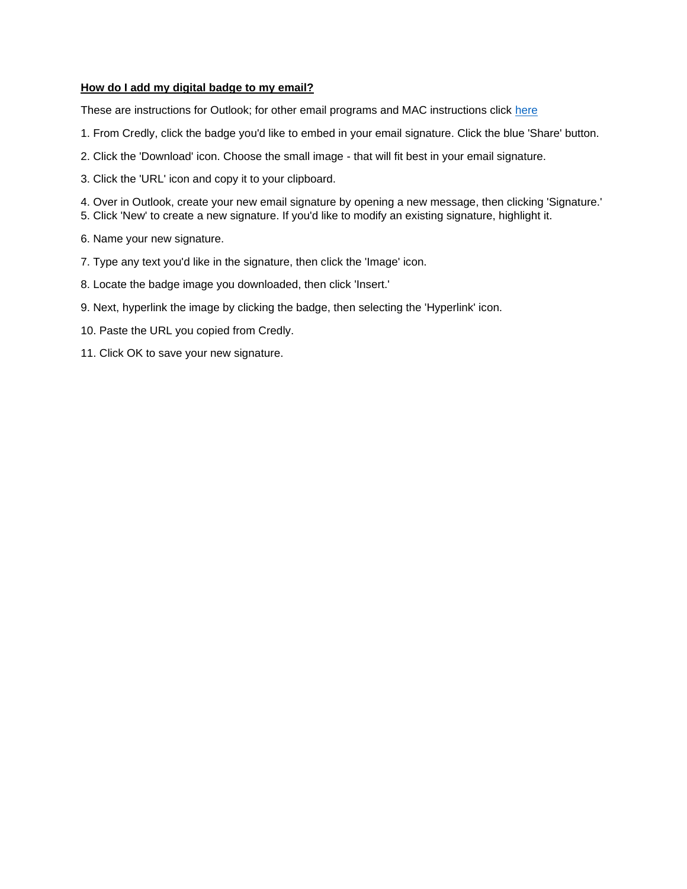### **How do I add my digital badge to my email?**

These are instructions for Outlook; for other email programs and MAC instructions click [here](https://support.credly.com/hc/en-us/articles/360021221691-Can-I-attach-my-badge-to-my-email-signature-)

- 1. From Credly, click the badge you'd like to embed in your email signature. Click the blue 'Share' button.
- 2. Click the 'Download' icon. Choose the small image that will fit best in your email signature.
- 3. Click the 'URL' icon and copy it to your clipboard.
- 4. Over in Outlook, create your new email signature by opening a new message, then clicking 'Signature.'
- 5. Click 'New' to create a new signature. If you'd like to modify an existing signature, highlight it.
- 6. Name your new signature.
- 7. Type any text you'd like in the signature, then click the 'Image' icon.
- 8. Locate the badge image you downloaded, then click 'Insert.'
- 9. Next, hyperlink the image by clicking the badge, then selecting the 'Hyperlink' icon.
- 10. Paste the URL you copied from Credly.
- 11. Click OK to save your new signature.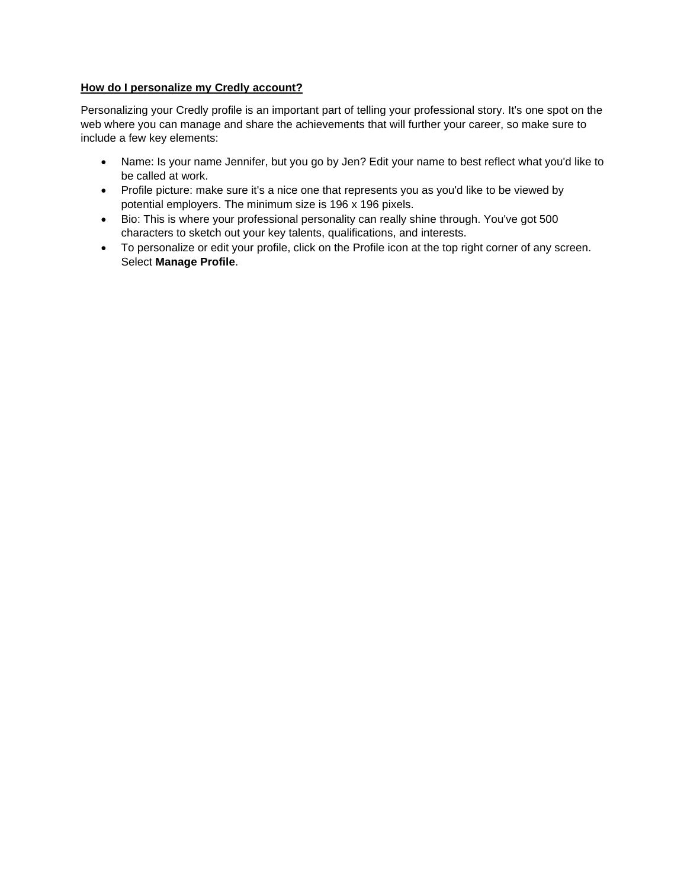### **How do I personalize my Credly account?**

Personalizing your Credly profile is an important part of telling your professional story. It's one spot on the web where you can manage and share the achievements that will further your career, so make sure to include a few key elements:

- Name: Is your name Jennifer, but you go by Jen? Edit your name to best reflect what you'd like to be called at work.
- Profile picture: make sure it's a nice one that represents you as you'd like to be viewed by potential employers. The minimum size is 196 x 196 pixels.
- Bio: This is where your professional personality can really shine through. You've got 500 characters to sketch out your key talents, qualifications, and interests.
- To personalize or edit your profile, click on the Profile icon at the top right corner of any screen. Select **Manage Profile**.